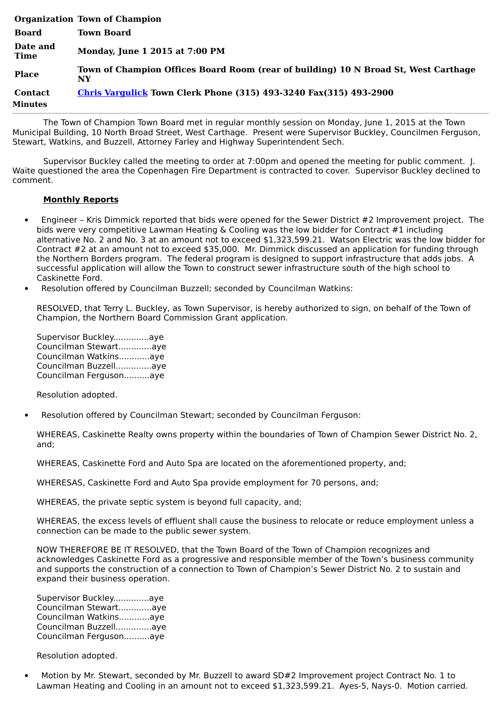|                           | <b>Organization Town of Champion</b>                                                      |
|---------------------------|-------------------------------------------------------------------------------------------|
| <b>Board</b>              | <b>Town Board</b>                                                                         |
| Date and<br><b>Time</b>   | <b>Monday, June 1 2015 at 7:00 PM</b>                                                     |
| <b>Place</b>              | Town of Champion Offices Board Room (rear of building) 10 N Broad St, West Carthage<br>NY |
| <b>Contact</b><br>Minutes | <b>Chris Vargulick Town Clerk Phone (315) 493-3240 Fax(315) 493-2900</b>                  |

The Town of Champion Town Board met in regular monthly session on Monday, June 1, 2015 at the Town Municipal Building, 10 North Broad Street, West Carthage. Present were Supervisor Buckley, Councilmen Ferguson, Stewart, Watkins, and Buzzell, Attorney Farley and Highway Superintendent Sech.

Supervisor Buckley called the meeting to order at 7:00pm and opened the meeting for public comment. J. Waite questioned the area the Copenhagen Fire Department is contracted to cover. Supervisor Buckley declined to comment.

## **Monthly Reports**

- Engineer Kris Dimmick reported that bids were opened for the Sewer District #2 Improvement project. The bids were very competitive Lawman Heating & Cooling was the low bidder for Contract #1 including alternative No. 2 and No. 3 at an amount not to exceed \$1,323,599.21. Watson Electric was the low bidder for Contract #2 at an amount not to exceed \$35,000. Mr. Dimmick discussed an application for funding through the Northern Borders program. The federal program is designed to support infrastructure that adds jobs. A successful application will allow the Town to construct sewer infrastructure south of the high school to Caskinette Ford.
- Resolution offered by Councilman Buzzell; seconded by Councilman Watkins:

RESOLVED, that Terry L. Buckley, as Town Supervisor, is hereby authorized to sign, on behalf of the Town of Champion, the Northern Board Commission Grant application.

| Supervisor Buckleyaye  |  |
|------------------------|--|
| Councilman Stewartaye  |  |
| Councilman Watkinsaye  |  |
| Councilman Buzzellaye  |  |
| Councilman Fergusonaye |  |

Resolution adopted.

Resolution offered by Councilman Stewart; seconded by Councilman Ferguson:

WHEREAS, Caskinette Realty owns property within the boundaries of Town of Champion Sewer District No. 2, and;

WHEREAS, Caskinette Ford and Auto Spa are located on the aforementioned property, and;

WHERESAS, Caskinette Ford and Auto Spa provide employment for 70 persons, and;

WHEREAS, the private septic system is beyond full capacity, and;

WHEREAS, the excess levels of effluent shall cause the business to relocate or reduce employment unless a connection can be made to the public sewer system.

NOW THEREFORE BE IT RESOLVED, that the Town Board of the Town of Champion recognizes and acknowledges Caskinette Ford as a progressive and responsible member of the Town's business community and supports the construction of a connection to Town of Champion's Sewer District No. 2 to sustain and expand their business operation.

Supervisor Buckley..............aye Councilman Stewart.............aye Councilman Watkins............aye Councilman Buzzell..............aye Councilman Ferguson..........aye

Resolution adopted.

· Motion by Mr. Stewart, seconded by Mr. Buzzell to award SD#2 Improvement project Contract No. 1 to Lawman Heating and Cooling in an amount not to exceed \$1,323,599.21. Ayes-5, Nays-0. Motion carried.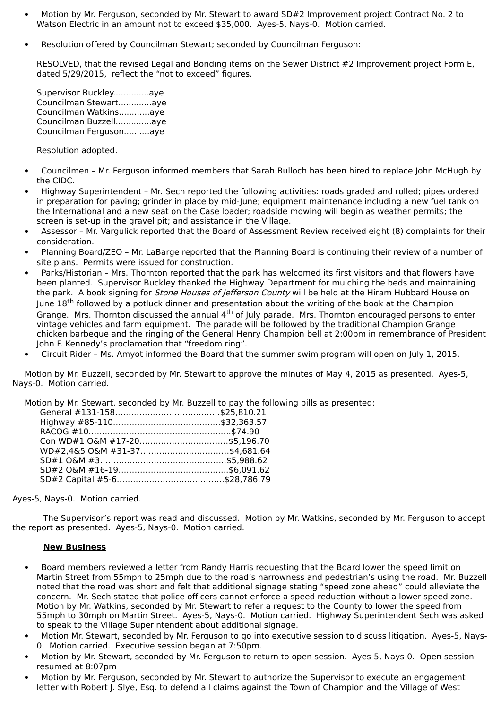- Motion by Mr. Ferguson, seconded by Mr. Stewart to award SD#2 Improvement project Contract No. 2 to Watson Electric in an amount not to exceed \$35,000. Ayes-5, Nays-0. Motion carried.
- · Resolution offered by Councilman Stewart; seconded by Councilman Ferguson:

RESOLVED, that the revised Legal and Bonding items on the Sewer District #2 Improvement project Form E, dated 5/29/2015, reflect the "not to exceed" figures.

| Supervisor Buckleyaye  |  |
|------------------------|--|
| Councilman Stewartaye  |  |
| Councilman Watkinsaye  |  |
| Councilman Buzzellaye  |  |
| Councilman Fergusonaye |  |

Resolution adopted.

- · Councilmen Mr. Ferguson informed members that Sarah Bulloch has been hired to replace John McHugh by the CIDC.
- · Highway Superintendent Mr. Sech reported the following activities: roads graded and rolled; pipes ordered in preparation for paving; grinder in place by mid-June; equipment maintenance including a new fuel tank on the International and a new seat on the Case loader; roadside mowing will begin as weather permits; the screen is set-up in the gravel pit; and assistance in the Village.
- · Assessor Mr. Vargulick reported that the Board of Assessment Review received eight (8) complaints for their consideration.
- · Planning Board/ZEO Mr. LaBarge reported that the Planning Board is continuing their review of a number of site plans. Permits were issued for construction.
- Parks/Historian Mrs. Thornton reported that the park has welcomed its first visitors and that flowers have been planted. Supervisor Buckley thanked the Highway Department for mulching the beds and maintaining the park. A book signing for *Stone Houses of Jefferson County* will be held at the Hiram Hubbard House on June 18<sup>th</sup> followed by a potluck dinner and presentation about the writing of the book at the Champion Grange. Mrs. Thornton discussed the annual 4<sup>th</sup> of July parade. Mrs. Thornton encouraged persons to enter vintage vehicles and farm equipment. The parade will be followed by the traditional Champion Grange chicken barbeque and the ringing of the General Henry Champion bell at 2:00pm in remembrance of President John F. Kennedy's proclamation that "freedom ring".
- · Circuit Rider Ms. Amyot informed the Board that the summer swim program will open on July 1, 2015.

Motion by Mr. Buzzell, seconded by Mr. Stewart to approve the minutes of May 4, 2015 as presented. Ayes-5, Nays-0. Motion carried.

Motion by Mr. Stewart, seconded by Mr. Buzzell to pay the following bills as presented:

Ayes-5, Nays-0. Motion carried.

The Supervisor's report was read and discussed. Motion by Mr. Watkins, seconded by Mr. Ferguson to accept the report as presented. Ayes-5, Nays-0. Motion carried.

## **New Business**

- · Board members reviewed a letter from Randy Harris requesting that the Board lower the speed limit on Martin Street from 55mph to 25mph due to the road's narrowness and pedestrian's using the road. Mr. Buzzell noted that the road was short and felt that additional signage stating "speed zone ahead" could alleviate the concern. Mr. Sech stated that police officers cannot enforce a speed reduction without a lower speed zone. Motion by Mr. Watkins, seconded by Mr. Stewart to refer a request to the County to lower the speed from 55mph to 30mph on Martin Street. Ayes-5, Nays-0. Motion carried. Highway Superintendent Sech was asked to speak to the Village Superintendent about additional signage.
- · Motion Mr. Stewart, seconded by Mr. Ferguson to go into executive session to discuss litigation. Ayes-5, Nays-0. Motion carried. Executive session began at 7:50pm.
- Motion by Mr. Stewart, seconded by Mr. Ferguson to return to open session. Ayes-5, Nays-0. Open session resumed at 8:07pm
- Motion by Mr. Ferguson, seconded by Mr. Stewart to authorize the Supervisor to execute an engagement letter with Robert J. Slye, Esq. to defend all claims against the Town of Champion and the Village of West